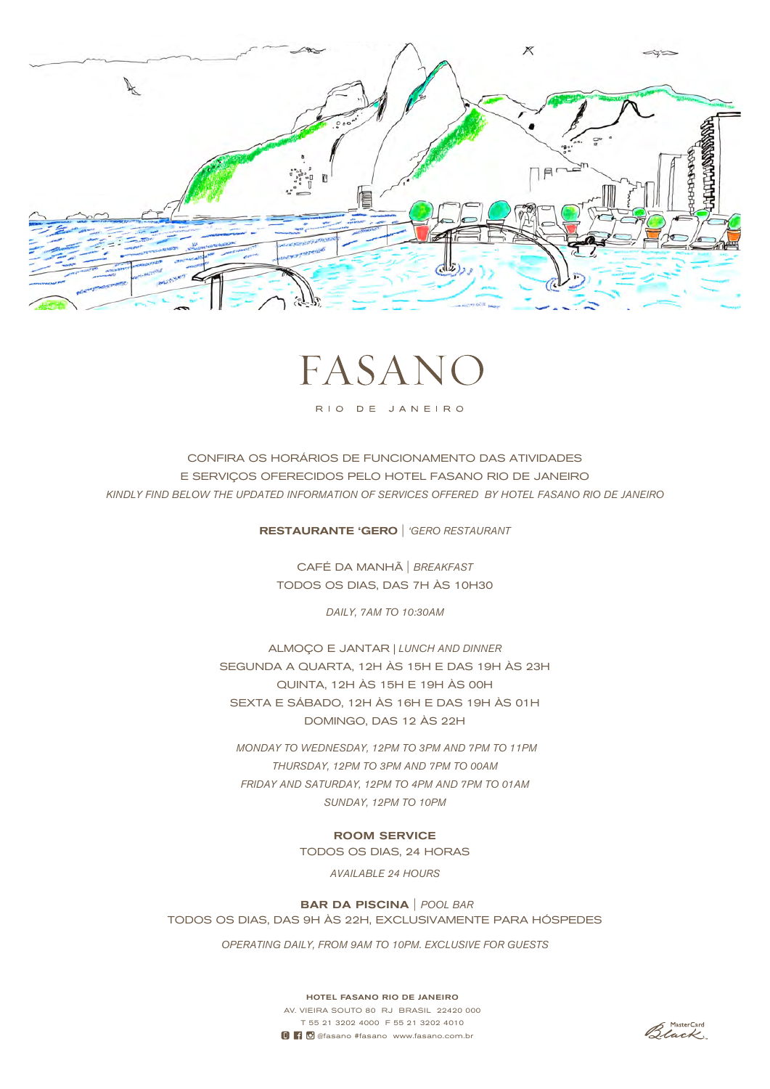



RIO DE JANEIRO

CONFIRA OS HORÁRIOS DE FUNCIONAMENTO DAS ATIVIDADES E SERVIÇOS OFERECIDOS PELO HOTEL FASANO RIO DE JANEIRO *KINDLY FIND BELOW THE UPDATED INFORMATION OF SERVICES OFFERED BY HOTEL FASANO RIO DE JANEIRO*

RESTAURANTE 'GERO | *'GERO RESTAURANT*

CAFÉ DA MANHÃ | *BREAKFAST* TODOS OS DIAS, DAS 7H ÀS 10H30

*DAILY, 7AM TO 10:30AM*

ALMOÇO E JANTAR *| LUNCH AND DINNER* SEGUNDA A QUARTA, 12H ÀS 15H E DAS 19H ÀS 23H QUINTA, 12H ÀS 15H E 19H ÀS 00H SEXTA E SÁBADO, 12H ÀS 16H E DAS 19H ÀS 01H DOMINGO, DAS 12 ÀS 22H

 *MONDAY TO WEDNESDAY, 12PM TO 3PM AND 7PM TO 11PM THURSDAY, 12PM TO 3PM AND 7PM TO 00AM FRIDAY AND SATURDAY, 12PM TO 4PM AND 7PM TO 01AM SUNDAY, 12PM TO 10PM*

> ROOM SERVICE TODOS OS DIAS, 24 HORAS

> > *AVAILABLE 24 HOURS*

 BAR DA PISCINA | *POOL BAR* TODOS OS DIAS, DAS 9H ÀS 22H, EXCLUSIVAMENTE PARA HÓSPEDES

*OPERATING DAILY, FROM 9AM TO 10PM. EXCLUSIVE FOR GUESTS*

HOTEL FASANO RIO DE JANEIRO AV. VIEIRA SOUTO 80 RJ BRASIL 22420 000 T 55 21 3202 4000 F 55 21 3202 4010 **0 6** @fasano #fasano www.fasano.com.br